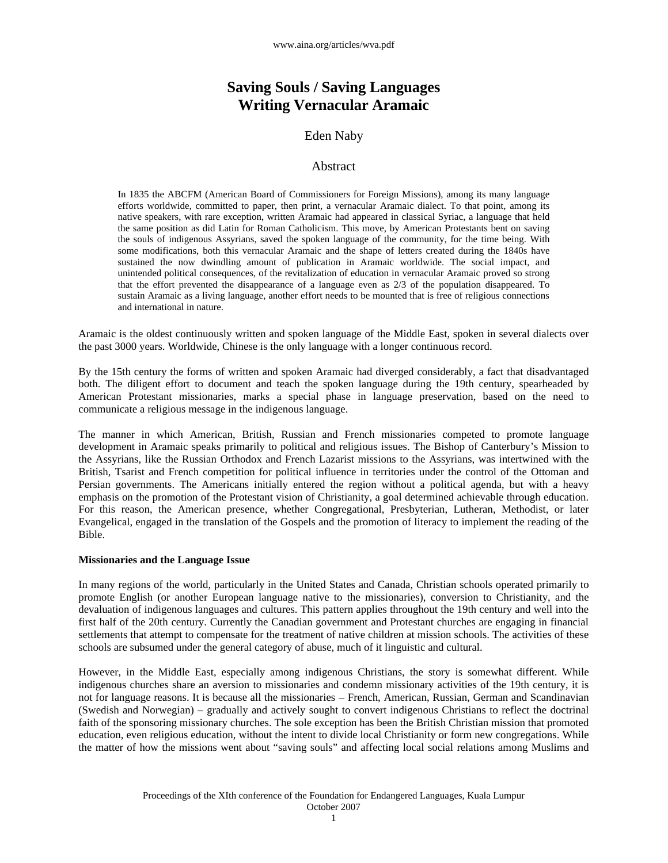# **Saving Souls / Saving Languages Writing Vernacular Aramaic**

# Eden Naby

# Abstract

In 1835 the ABCFM (American Board of Commissioners for Foreign Missions), among its many language efforts worldwide, committed to paper, then print, a vernacular Aramaic dialect. To that point, among its native speakers, with rare exception, written Aramaic had appeared in classical Syriac, a language that held the same position as did Latin for Roman Catholicism. This move, by American Protestants bent on saving the souls of indigenous Assyrians, saved the spoken language of the community, for the time being. With some modifications, both this vernacular Aramaic and the shape of letters created during the 1840s have sustained the now dwindling amount of publication in Aramaic worldwide. The social impact, and unintended political consequences, of the revitalization of education in vernacular Aramaic proved so strong that the effort prevented the disappearance of a language even as 2/3 of the population disappeared. To sustain Aramaic as a living language, another effort needs to be mounted that is free of religious connections and international in nature.

Aramaic is the oldest continuously written and spoken language of the Middle East, spoken in several dialects over the past 3000 years. Worldwide, Chinese is the only language with a longer continuous record.

By the 15th century the forms of written and spoken Aramaic had diverged considerably, a fact that disadvantaged both. The diligent effort to document and teach the spoken language during the 19th century, spearheaded by American Protestant missionaries, marks a special phase in language preservation, based on the need to communicate a religious message in the indigenous language.

The manner in which American, British, Russian and French missionaries competed to promote language development in Aramaic speaks primarily to political and religious issues. The Bishop of Canterbury's Mission to the Assyrians, like the Russian Orthodox and French Lazarist missions to the Assyrians, was intertwined with the British, Tsarist and French competition for political influence in territories under the control of the Ottoman and Persian governments. The Americans initially entered the region without a political agenda, but with a heavy emphasis on the promotion of the Protestant vision of Christianity, a goal determined achievable through education. For this reason, the American presence, whether Congregational, Presbyterian, Lutheran, Methodist, or later Evangelical, engaged in the translation of the Gospels and the promotion of literacy to implement the reading of the Bible.

#### **Missionaries and the Language Issue**

In many regions of the world, particularly in the United States and Canada, Christian schools operated primarily to promote English (or another European language native to the missionaries), conversion to Christianity, and the devaluation of indigenous languages and cultures. This pattern applies throughout the 19th century and well into the first half of the 20th century. Currently the Canadian government and Protestant churches are engaging in financial settlements that attempt to compensate for the treatment of native children at mission schools. The activities of these schools are subsumed under the general category of abuse, much of it linguistic and cultural.

However, in the Middle East, especially among indigenous Christians, the story is somewhat different. While indigenous churches share an aversion to missionaries and condemn missionary activities of the 19th century, it is not for language reasons. It is because all the missionaries – French, American, Russian, German and Scandinavian (Swedish and Norwegian) – gradually and actively sought to convert indigenous Christians to reflect the doctrinal faith of the sponsoring missionary churches. The sole exception has been the British Christian mission that promoted education, even religious education, without the intent to divide local Christianity or form new congregations. While the matter of how the missions went about "saving souls" and affecting local social relations among Muslims and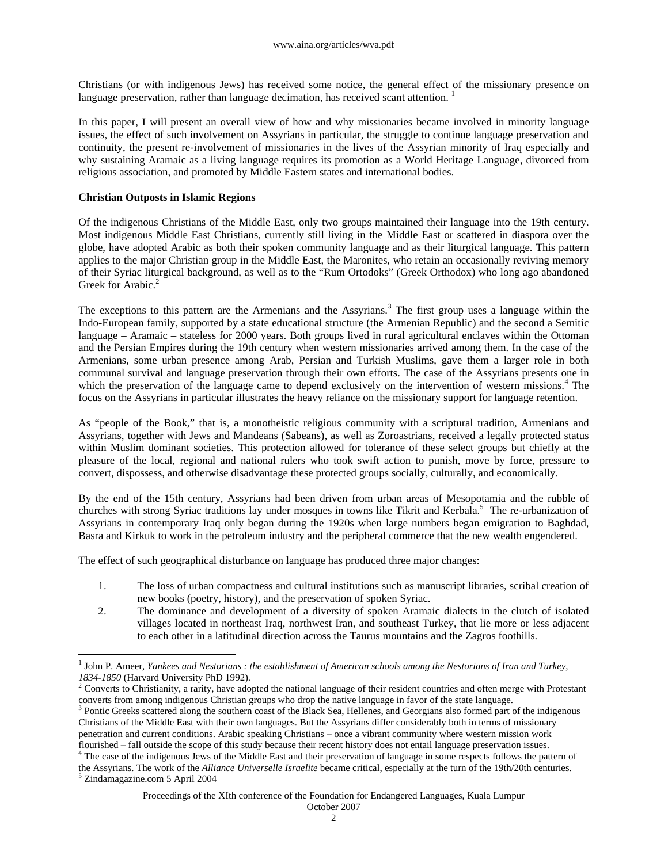Christians (or with indigenous Jews) has received some notice, the general effect of the missionary presence on language preservation, rather than language decimation, has received scant attention.<sup>1</sup>

In this paper, I will present an overall view of how and why missionaries became involved in minority language issues, the effect of such involvement on Assyrians in particular, the struggle to continue language preservation and continuity, the present re-involvement of missionaries in the lives of the Assyrian minority of Iraq especially and why sustaining Aramaic as a living language requires its promotion as a World Heritage Language, divorced from religious association, and promoted by Middle Eastern states and international bodies.

#### **Christian Outposts in Islamic Regions**

Of the indigenous Christians of the Middle East, only two groups maintained their language into the 19th century. Most indigenous Middle East Christians, currently still living in the Middle East or scattered in diaspora over the globe, have adopted Arabic as both their spoken community language and as their liturgical language. This pattern applies to the major Christian group in the Middle East, the Maronites, who retain an occasionally reviving memory of their Syriac liturgical background, as well as to the "Rum Ortodoks" (Greek Orthodox) who long ago abandoned Greek for Arabic. $2$ 

The exceptions to this pattern are the Armenians and the Assyrians.<sup>3</sup> The first group uses a language within the Indo-European family, supported by a state educational structure (the Armenian Republic) and the second a Semitic language – Aramaic – stateless for 2000 years. Both groups lived in rural agricultural enclaves within the Ottoman and the Persian Empires during the 19th century when western missionaries arrived among them. In the case of the Armenians, some urban presence among Arab, Persian and Turkish Muslims, gave them a larger role in both communal survival and language preservation through their own efforts. The case of the Assyrians presents one in which the preservation of the language came to depend exclusively on the intervention of western missions.<sup>4</sup> The focus on the Assyrians in particular illustrates the heavy reliance on the missionary support for language retention.

As "people of the Book," that is, a monotheistic religious community with a scriptural tradition, Armenians and Assyrians, together with Jews and Mandeans (Sabeans), as well as Zoroastrians, received a legally protected status within Muslim dominant societies. This protection allowed for tolerance of these select groups but chiefly at the pleasure of the local, regional and national rulers who took swift action to punish, move by force, pressure to convert, dispossess, and otherwise disadvantage these protected groups socially, culturally, and economically.

By the end of the 15th century, Assyrians had been driven from urban areas of Mesopotamia and the rubble of churches with strong Syriac traditions lay under mosques in towns like Tikrit and Kerbala.<sup>5</sup> The re-urbanization of Assyrians in contemporary Iraq only began during the 1920s when large numbers began emigration to Baghdad, Basra and Kirkuk to work in the petroleum industry and the peripheral commerce that the new wealth engendered.

The effect of such geographical disturbance on language has produced three major changes:

- 1. The loss of urban compactness and cultural institutions such as manuscript libraries, scribal creation of new books (poetry, history), and the preservation of spoken Syriac.
- 2. The dominance and development of a diversity of spoken Aramaic dialects in the clutch of isolated villages located in northeast Iraq, northwest Iran, and southeast Turkey, that lie more or less adjacent to each other in a latitudinal direction across the Taurus mountains and the Zagros foothills.

 $\overline{a}$ 

<sup>&</sup>lt;sup>1</sup> John P. Ameer, *Yankees and Nestorians : the establishment of American schools among the Nestorians of Iran and Turkey, 1834-1850* (Harvard University PhD 1992). 2 Converts to Christianity, a rarity, have adopted the national language of their resident countries and often merge with Protestant

converts from among indigenous Christian groups who drop the native language in favor of the state language.

<sup>&</sup>lt;sup>3</sup> Pontic Greeks scattered along the southern coast of the Black Sea, Hellenes, and Georgians also formed part of the indigenous Christians of the Middle East with their own languages. But the Assyrians differ considerably both in terms of missionary penetration and current conditions. Arabic speaking Christians – once a vibrant community where western mission work flourished – fall outside the scope of this study because their recent history does not entail language preservation issues.

<sup>&</sup>lt;sup>4</sup> The case of the indigenous Jews of the Middle East and their preservation of language in some respects follows the pattern of the Assyrians. The work of the *Alliance Universelle Israelite* became critical, especially at the turn of the 19th/20th centuries.

<sup>5</sup> Zindamagazine.com 5 April 2004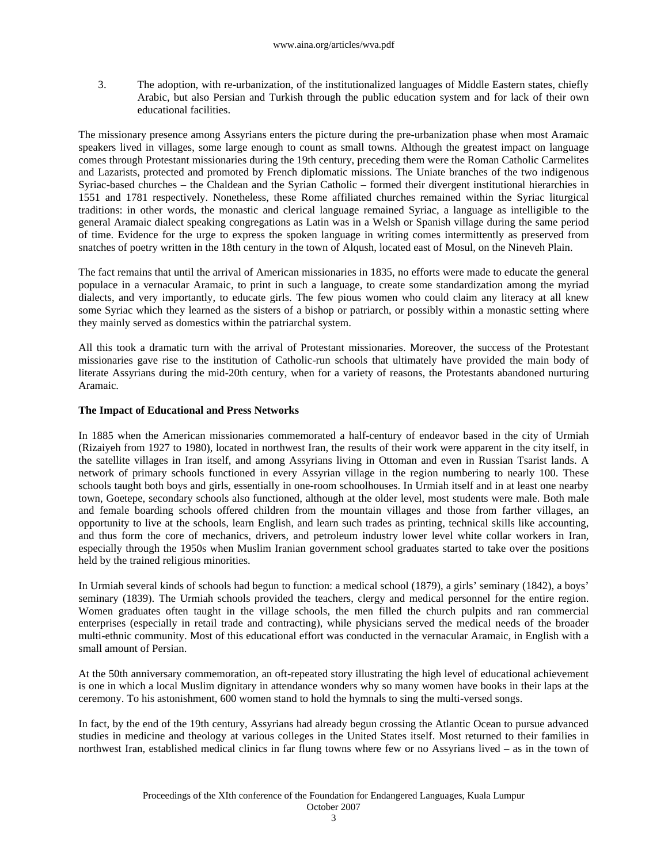3. The adoption, with re-urbanization, of the institutionalized languages of Middle Eastern states, chiefly Arabic, but also Persian and Turkish through the public education system and for lack of their own educational facilities.

The missionary presence among Assyrians enters the picture during the pre-urbanization phase when most Aramaic speakers lived in villages, some large enough to count as small towns. Although the greatest impact on language comes through Protestant missionaries during the 19th century, preceding them were the Roman Catholic Carmelites and Lazarists, protected and promoted by French diplomatic missions. The Uniate branches of the two indigenous Syriac-based churches – the Chaldean and the Syrian Catholic – formed their divergent institutional hierarchies in 1551 and 1781 respectively. Nonetheless, these Rome affiliated churches remained within the Syriac liturgical traditions: in other words, the monastic and clerical language remained Syriac, a language as intelligible to the general Aramaic dialect speaking congregations as Latin was in a Welsh or Spanish village during the same period of time. Evidence for the urge to express the spoken language in writing comes intermittently as preserved from snatches of poetry written in the 18th century in the town of Alqush, located east of Mosul, on the Nineveh Plain.

The fact remains that until the arrival of American missionaries in 1835, no efforts were made to educate the general populace in a vernacular Aramaic, to print in such a language, to create some standardization among the myriad dialects, and very importantly, to educate girls. The few pious women who could claim any literacy at all knew some Syriac which they learned as the sisters of a bishop or patriarch, or possibly within a monastic setting where they mainly served as domestics within the patriarchal system.

All this took a dramatic turn with the arrival of Protestant missionaries. Moreover, the success of the Protestant missionaries gave rise to the institution of Catholic-run schools that ultimately have provided the main body of literate Assyrians during the mid-20th century, when for a variety of reasons, the Protestants abandoned nurturing Aramaic.

#### **The Impact of Educational and Press Networks**

In 1885 when the American missionaries commemorated a half-century of endeavor based in the city of Urmiah (Rizaiyeh from 1927 to 1980), located in northwest Iran, the results of their work were apparent in the city itself, in the satellite villages in Iran itself, and among Assyrians living in Ottoman and even in Russian Tsarist lands. A network of primary schools functioned in every Assyrian village in the region numbering to nearly 100. These schools taught both boys and girls, essentially in one-room schoolhouses. In Urmiah itself and in at least one nearby town, Goetepe, secondary schools also functioned, although at the older level, most students were male. Both male and female boarding schools offered children from the mountain villages and those from farther villages, an opportunity to live at the schools, learn English, and learn such trades as printing, technical skills like accounting, and thus form the core of mechanics, drivers, and petroleum industry lower level white collar workers in Iran, especially through the 1950s when Muslim Iranian government school graduates started to take over the positions held by the trained religious minorities.

In Urmiah several kinds of schools had begun to function: a medical school (1879), a girls' seminary (1842), a boys' seminary (1839). The Urmiah schools provided the teachers, clergy and medical personnel for the entire region. Women graduates often taught in the village schools, the men filled the church pulpits and ran commercial enterprises (especially in retail trade and contracting), while physicians served the medical needs of the broader multi-ethnic community. Most of this educational effort was conducted in the vernacular Aramaic, in English with a small amount of Persian.

At the 50th anniversary commemoration, an oft-repeated story illustrating the high level of educational achievement is one in which a local Muslim dignitary in attendance wonders why so many women have books in their laps at the ceremony. To his astonishment, 600 women stand to hold the hymnals to sing the multi-versed songs.

In fact, by the end of the 19th century, Assyrians had already begun crossing the Atlantic Ocean to pursue advanced studies in medicine and theology at various colleges in the United States itself. Most returned to their families in northwest Iran, established medical clinics in far flung towns where few or no Assyrians lived – as in the town of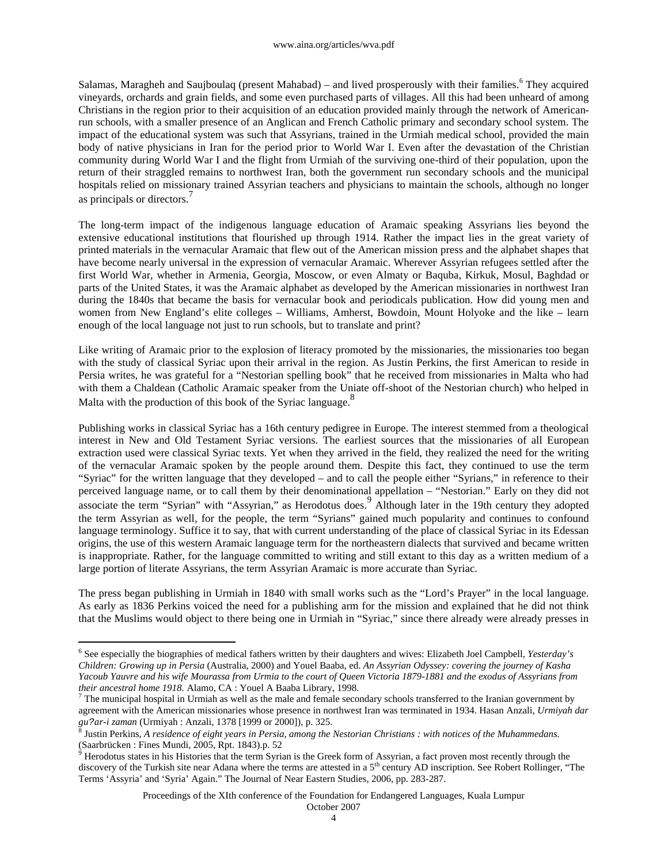Salamas, Maragheh and Saujboulaq (present Mahabad) – and lived prosperously with their families.<sup>6</sup> They acquired vineyards, orchards and grain fields, and some even purchased parts of villages. All this had been unheard of among Christians in the region prior to their acquisition of an education provided mainly through the network of Americanrun schools, with a smaller presence of an Anglican and French Catholic primary and secondary school system. The impact of the educational system was such that Assyrians, trained in the Urmiah medical school, provided the main body of native physicians in Iran for the period prior to World War I. Even after the devastation of the Christian community during World War I and the flight from Urmiah of the surviving one-third of their population, upon the return of their straggled remains to northwest Iran, both the government run secondary schools and the municipal hospitals relied on missionary trained Assyrian teachers and physicians to maintain the schools, although no longer as principals or directors.<sup>7</sup>

The long-term impact of the indigenous language education of Aramaic speaking Assyrians lies beyond the extensive educational institutions that flourished up through 1914. Rather the impact lies in the great variety of printed materials in the vernacular Aramaic that flew out of the American mission press and the alphabet shapes that have become nearly universal in the expression of vernacular Aramaic. Wherever Assyrian refugees settled after the first World War, whether in Armenia, Georgia, Moscow, or even Almaty or Baquba, Kirkuk, Mosul, Baghdad or parts of the United States, it was the Aramaic alphabet as developed by the American missionaries in northwest Iran during the 1840s that became the basis for vernacular book and periodicals publication. How did young men and women from New England's elite colleges – Williams, Amherst, Bowdoin, Mount Holyoke and the like – learn enough of the local language not just to run schools, but to translate and print?

Like writing of Aramaic prior to the explosion of literacy promoted by the missionaries, the missionaries too began with the study of classical Syriac upon their arrival in the region. As Justin Perkins, the first American to reside in Persia writes, he was grateful for a "Nestorian spelling book" that he received from missionaries in Malta who had with them a Chaldean (Catholic Aramaic speaker from the Uniate off-shoot of the Nestorian church) who helped in Malta with the production of this book of the Syriac language.<sup>8</sup>

Publishing works in classical Syriac has a 16th century pedigree in Europe. The interest stemmed from a theological interest in New and Old Testament Syriac versions. The earliest sources that the missionaries of all European extraction used were classical Syriac texts. Yet when they arrived in the field, they realized the need for the writing of the vernacular Aramaic spoken by the people around them. Despite this fact, they continued to use the term "Syriac" for the written language that they developed – and to call the people either "Syrians," in reference to their perceived language name, or to call them by their denominational appellation – "Nestorian." Early on they did not associate the term "Syrian" with "Assyrian," as Herodotus does.<sup>9</sup> Although later in the 19th century they adopted the term Assyrian as well, for the people, the term "Syrians" gained much popularity and continues to confound language terminology. Suffice it to say, that with current understanding of the place of classical Syriac in its Edessan origins, the use of this western Aramaic language term for the northeastern dialects that survived and became written is inappropriate. Rather, for the language committed to writing and still extant to this day as a written medium of a large portion of literate Assyrians, the term Assyrian Aramaic is more accurate than Syriac.

The press began publishing in Urmiah in 1840 with small works such as the "Lord's Prayer" in the local language. As early as 1836 Perkins voiced the need for a publishing arm for the mission and explained that he did not think that the Muslims would object to there being one in Urmiah in "Syriac," since there already were already presses in

 $\overline{a}$ 

Proceedings of the XIth conference of the Foundation for Endangered Languages, Kuala Lumpur

<sup>6</sup> See especially the biographies of medical fathers written by their daughters and wives: Elizabeth Joel Campbell, *Yesterday's Children: Growing up in Persia* (Australia, 2000) and Youel Baaba, ed. *An Assyrian Odyssey: covering the journey of Kasha Yacoub Yauvre and his wife Mourassa from Urmia to the court of Queen Victoria 1879-1881 and the exodus of Assyrians from their ancestral home 1918.* Alamo, CA : Youel A Baaba Library, 1998.

The municipal hospital in Urmiah as well as the male and female secondary schools transferred to the Iranian government by agreement with the American missionaries whose presence in northwest Iran was terminated in 1934. Hasan Anzali, *Urmiyah dar* 

*gu?ar-i zaman* (Urmiyah : Anzali, 1378 [1999 or 2000]), p. 325. 8 Justin Perkins, *A residence of eight years in Persia, among the Nestorian Christians : with notices of the Muhammedans.*

<sup>(</sup>Saarbrücken : Fines Mundi, 2005, Rpt. 1843).p. 52<br><sup>9</sup> Herodotus states in his Histories that the term Syrian is the Greek form of Assyrian, a fact proven most recently through the discovery of the Turkish site near Adana where the terms are attested in a 5<sup>th</sup> century AD inscription. See Robert Rollinger, "The Terms 'Assyria' and 'Syria' Again." The Journal of Near Eastern Studies, 2006, pp. 283-287.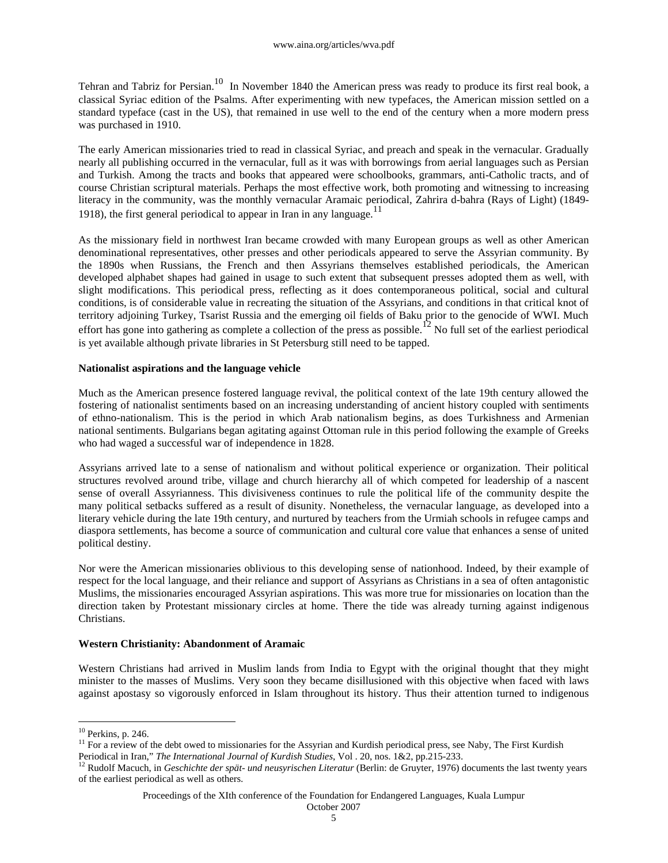Tehran and Tabriz for Persian.<sup>10</sup> In November 1840 the American press was ready to produce its first real book, a classical Syriac edition of the Psalms. After experimenting with new typefaces, the American mission settled on a standard typeface (cast in the US), that remained in use well to the end of the century when a more modern press was purchased in 1910.

The early American missionaries tried to read in classical Syriac, and preach and speak in the vernacular. Gradually nearly all publishing occurred in the vernacular, full as it was with borrowings from aerial languages such as Persian and Turkish. Among the tracts and books that appeared were schoolbooks, grammars, anti-Catholic tracts, and of course Christian scriptural materials. Perhaps the most effective work, both promoting and witnessing to increasing literacy in the community, was the monthly vernacular Aramaic periodical, Zahrira d-bahra (Rays of Light) (1849- 1918), the first general periodical to appear in Iran in any language.<sup>11</sup>

As the missionary field in northwest Iran became crowded with many European groups as well as other American denominational representatives, other presses and other periodicals appeared to serve the Assyrian community. By the 1890s when Russians, the French and then Assyrians themselves established periodicals, the American developed alphabet shapes had gained in usage to such extent that subsequent presses adopted them as well, with slight modifications. This periodical press, reflecting as it does contemporaneous political, social and cultural conditions, is of considerable value in recreating the situation of the Assyrians, and conditions in that critical knot of territory adjoining Turkey, Tsarist Russia and the emerging oil fields of Baku prior to the genocide of WWI. Much effort has gone into gathering as complete a collection of the press as possible.<sup>12</sup> No full set of the earliest periodical is yet available although private libraries in St Petersburg still need to be tapped.

## **Nationalist aspirations and the language vehicle**

Much as the American presence fostered language revival, the political context of the late 19th century allowed the fostering of nationalist sentiments based on an increasing understanding of ancient history coupled with sentiments of ethno-nationalism. This is the period in which Arab nationalism begins, as does Turkishness and Armenian national sentiments. Bulgarians began agitating against Ottoman rule in this period following the example of Greeks who had waged a successful war of independence in 1828.

Assyrians arrived late to a sense of nationalism and without political experience or organization. Their political structures revolved around tribe, village and church hierarchy all of which competed for leadership of a nascent sense of overall Assyrianness. This divisiveness continues to rule the political life of the community despite the many political setbacks suffered as a result of disunity. Nonetheless, the vernacular language, as developed into a literary vehicle during the late 19th century, and nurtured by teachers from the Urmiah schools in refugee camps and diaspora settlements, has become a source of communication and cultural core value that enhances a sense of united political destiny.

Nor were the American missionaries oblivious to this developing sense of nationhood. Indeed, by their example of respect for the local language, and their reliance and support of Assyrians as Christians in a sea of often antagonistic Muslims, the missionaries encouraged Assyrian aspirations. This was more true for missionaries on location than the direction taken by Protestant missionary circles at home. There the tide was already turning against indigenous Christians.

## **Western Christianity: Abandonment of Aramaic**

Western Christians had arrived in Muslim lands from India to Egypt with the original thought that they might minister to the masses of Muslims. Very soon they became disillusioned with this objective when faced with laws against apostasy so vigorously enforced in Islam throughout its history. Thus their attention turned to indigenous

 $\overline{a}$ 

 $10$  Perkins, p. 246.

<sup>&</sup>lt;sup>11</sup> For a review of the debt owed to missionaries for the Assyrian and Kurdish periodical press, see Naby, The First Kurdish Periodical in Iran," *The International Journal of Kurdish Studies*, Vol . 20, nos. 1&2, pp.215-233.

<sup>&</sup>lt;sup>12</sup> Rudolf Macuch, in *Geschichte der spät- und neusyrischen Literatur* (Berlin: de Gruyter, 1976) documents the last twenty years of the earliest periodical as well as others.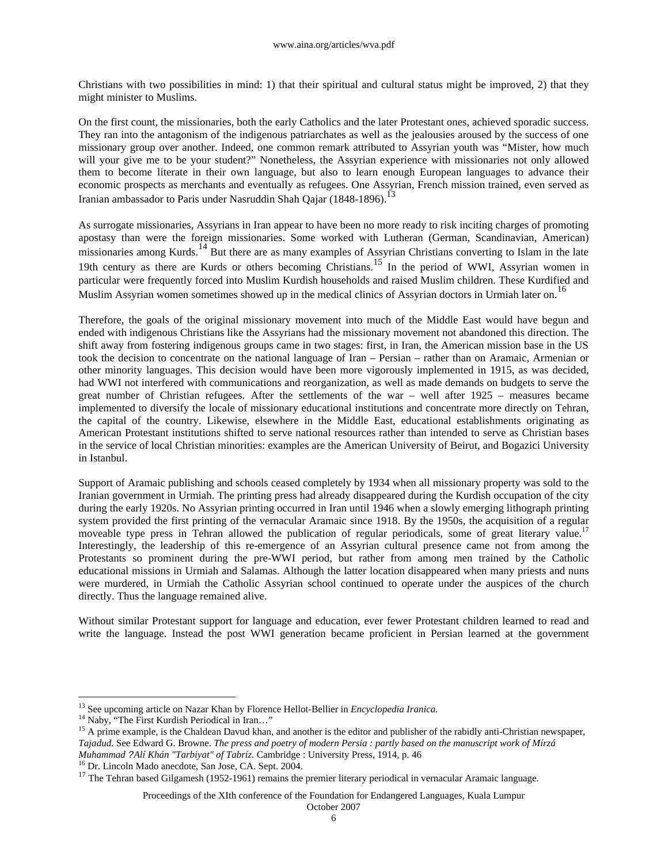Christians with two possibilities in mind: 1) that their spiritual and cultural status might be improved, 2) that they might minister to Muslims.

On the first count, the missionaries, both the early Catholics and the later Protestant ones, achieved sporadic success. They ran into the antagonism of the indigenous patriarchates as well as the jealousies aroused by the success of one missionary group over another. Indeed, one common remark attributed to Assyrian youth was "Mister, how much will your give me to be your student?" Nonetheless, the Assyrian experience with missionaries not only allowed them to become literate in their own language, but also to learn enough European languages to advance their economic prospects as merchants and eventually as refugees. One Assyrian, French mission trained, even served as Iranian ambassador to Paris under Nasruddin Shah Qajar (1848-1896).<sup>13</sup>

As surrogate missionaries, Assyrians in Iran appear to have been no more ready to risk inciting charges of promoting apostasy than were the foreign missionaries. Some worked with Lutheran (German, Scandinavian, American) missionaries among Kurds.<sup>14</sup> But there are as many examples of Assyrian Christians converting to Islam in the late 19th century as there are Kurds or others becoming Christians.15 In the period of WWI, Assyrian women in particular were frequently forced into Muslim Kurdish households and raised Muslim children. These Kurdified and Muslim Assyrian women sometimes showed up in the medical clinics of Assyrian doctors in Urmiah later on.<sup>16</sup>

Therefore, the goals of the original missionary movement into much of the Middle East would have begun and ended with indigenous Christians like the Assyrians had the missionary movement not abandoned this direction. The shift away from fostering indigenous groups came in two stages: first, in Iran, the American mission base in the US took the decision to concentrate on the national language of Iran – Persian – rather than on Aramaic, Armenian or other minority languages. This decision would have been more vigorously implemented in 1915, as was decided, had WWI not interfered with communications and reorganization, as well as made demands on budgets to serve the great number of Christian refugees. After the settlements of the war – well after 1925 – measures became implemented to diversify the locale of missionary educational institutions and concentrate more directly on Tehran, the capital of the country. Likewise, elsewhere in the Middle East, educational establishments originating as American Protestant institutions shifted to serve national resources rather than intended to serve as Christian bases in the service of local Christian minorities: examples are the American University of Beirut, and Bogazici University in Istanbul.

Support of Aramaic publishing and schools ceased completely by 1934 when all missionary property was sold to the Iranian government in Urmiah. The printing press had already disappeared during the Kurdish occupation of the city during the early 1920s. No Assyrian printing occurred in Iran until 1946 when a slowly emerging lithograph printing system provided the first printing of the vernacular Aramaic since 1918. By the 1950s, the acquisition of a regular moveable type press in Tehran allowed the publication of regular periodicals, some of great literary value.<sup>17</sup> Interestingly, the leadership of this re-emergence of an Assyrian cultural presence came not from among the Protestants so prominent during the pre-WWI period, but rather from among men trained by the Catholic educational missions in Urmiah and Salamas. Although the latter location disappeared when many priests and nuns were murdered, in Urmiah the Catholic Assyrian school continued to operate under the auspices of the church directly. Thus the language remained alive.

Without similar Protestant support for language and education, ever fewer Protestant children learned to read and write the language. Instead the post WWI generation became proficient in Persian learned at the government

 $\overline{a}$ 

*Muhammad ?Alí Khán "Tarbiyat" of Tabríz.* Cambridge : University Press, 1914, p. 46

<sup>16</sup> Dr. Lincoln Mado anecdote, San Jose, CA. Sept. 2004.

Proceedings of the XIth conference of the Foundation for Endangered Languages, Kuala Lumpur

<sup>13</sup> See upcoming article on Nazar Khan by Florence Hellot-Bellier in *Encyclopedia Iranica.* 

<sup>&</sup>lt;sup>14</sup> Naby, "The First Kurdish Periodical in Iran..."

<sup>&</sup>lt;sup>15</sup> A prime example, is the Chaldean Davud khan, and another is the editor and publisher of the rabidly anti-Christian newspaper, *Tajadud.* See Edward G. Browne. *The press and poetry of modern Persia : partly based on the manuscript work of Mírzá* 

 $17$  The Tehran based Gilgamesh (1952-1961) remains the premier literary periodical in vernacular Aramaic language.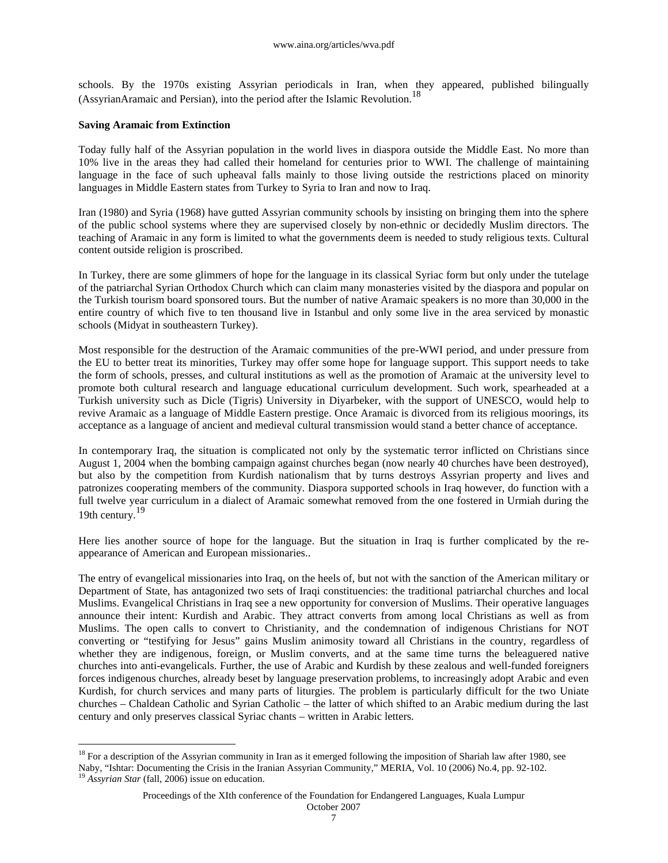schools. By the 1970s existing Assyrian periodicals in Iran, when they appeared, published bilingually (AssyrianAramaic and Persian), into the period after the Islamic Revolution.<sup>18</sup>

#### **Saving Aramaic from Extinction**

 $\overline{a}$ 

Today fully half of the Assyrian population in the world lives in diaspora outside the Middle East. No more than 10% live in the areas they had called their homeland for centuries prior to WWI. The challenge of maintaining language in the face of such upheaval falls mainly to those living outside the restrictions placed on minority languages in Middle Eastern states from Turkey to Syria to Iran and now to Iraq.

Iran (1980) and Syria (1968) have gutted Assyrian community schools by insisting on bringing them into the sphere of the public school systems where they are supervised closely by non-ethnic or decidedly Muslim directors. The teaching of Aramaic in any form is limited to what the governments deem is needed to study religious texts. Cultural content outside religion is proscribed.

In Turkey, there are some glimmers of hope for the language in its classical Syriac form but only under the tutelage of the patriarchal Syrian Orthodox Church which can claim many monasteries visited by the diaspora and popular on the Turkish tourism board sponsored tours. But the number of native Aramaic speakers is no more than 30,000 in the entire country of which five to ten thousand live in Istanbul and only some live in the area serviced by monastic schools (Midyat in southeastern Turkey).

Most responsible for the destruction of the Aramaic communities of the pre-WWI period, and under pressure from the EU to better treat its minorities, Turkey may offer some hope for language support. This support needs to take the form of schools, presses, and cultural institutions as well as the promotion of Aramaic at the university level to promote both cultural research and language educational curriculum development. Such work, spearheaded at a Turkish university such as Dicle (Tigris) University in Diyarbeker, with the support of UNESCO, would help to revive Aramaic as a language of Middle Eastern prestige. Once Aramaic is divorced from its religious moorings, its acceptance as a language of ancient and medieval cultural transmission would stand a better chance of acceptance.

In contemporary Iraq, the situation is complicated not only by the systematic terror inflicted on Christians since August 1, 2004 when the bombing campaign against churches began (now nearly 40 churches have been destroyed), but also by the competition from Kurdish nationalism that by turns destroys Assyrian property and lives and patronizes cooperating members of the community. Diaspora supported schools in Iraq however, do function with a full twelve year curriculum in a dialect of Aramaic somewhat removed from the one fostered in Urmiah during the 19th century.<sup>19</sup>

Here lies another source of hope for the language. But the situation in Iraq is further complicated by the reappearance of American and European missionaries..

The entry of evangelical missionaries into Iraq, on the heels of, but not with the sanction of the American military or Department of State, has antagonized two sets of Iraqi constituencies: the traditional patriarchal churches and local Muslims. Evangelical Christians in Iraq see a new opportunity for conversion of Muslims. Their operative languages announce their intent: Kurdish and Arabic. They attract converts from among local Christians as well as from Muslims. The open calls to convert to Christianity, and the condemnation of indigenous Christians for NOT converting or "testifying for Jesus" gains Muslim animosity toward all Christians in the country, regardless of whether they are indigenous, foreign, or Muslim converts, and at the same time turns the beleaguered native churches into anti-evangelicals. Further, the use of Arabic and Kurdish by these zealous and well-funded foreigners forces indigenous churches, already beset by language preservation problems, to increasingly adopt Arabic and even Kurdish, for church services and many parts of liturgies. The problem is particularly difficult for the two Uniate churches – Chaldean Catholic and Syrian Catholic – the latter of which shifted to an Arabic medium during the last century and only preserves classical Syriac chants – written in Arabic letters.

 $18$  For a description of the Assyrian community in Iran as it emerged following the imposition of Shariah law after 1980, see Naby, "Ishtar: Documenting the Crisis in the Iranian Assyrian Community," MERIA, Vol. 10 (2006) No.4, pp. 92-102. <sup>19</sup> Assyrian Star (fall, 2006) issue on education.